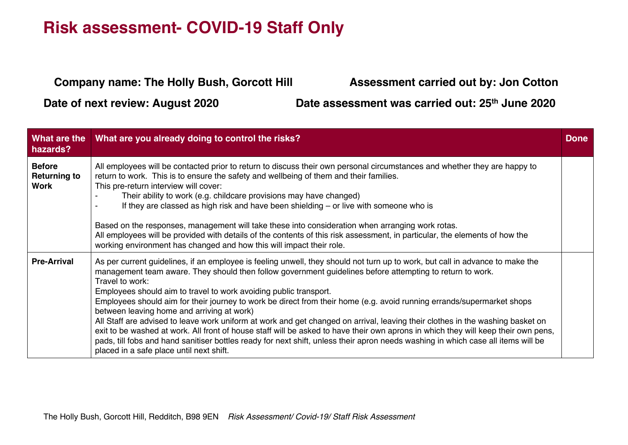#### **Company name: The Holly Bush, Gorcott Hill Assessment carried out by: Jon Cotton**

**Date of next review: August 2020 Date assessment was carried out: 25th June 2020**

| What are the<br>hazards?                            | What are you already doing to control the risks?                                                                                                                                                                                                                                                                                                                                                                                                                                                                                                                                                                                                                                                                                                                                                                                                                                                                                                                    | <b>Done</b> |
|-----------------------------------------------------|---------------------------------------------------------------------------------------------------------------------------------------------------------------------------------------------------------------------------------------------------------------------------------------------------------------------------------------------------------------------------------------------------------------------------------------------------------------------------------------------------------------------------------------------------------------------------------------------------------------------------------------------------------------------------------------------------------------------------------------------------------------------------------------------------------------------------------------------------------------------------------------------------------------------------------------------------------------------|-------------|
| <b>Before</b><br><b>Returning to</b><br><b>Work</b> | All employees will be contacted prior to return to discuss their own personal circumstances and whether they are happy to<br>return to work. This is to ensure the safety and wellbeing of them and their families.<br>This pre-return interview will cover:<br>Their ability to work (e.g. childcare provisions may have changed)<br>If they are classed as high risk and have been shielding $-$ or live with someone who is<br>Based on the responses, management will take these into consideration when arranging work rotas.<br>All employees will be provided with details of the contents of this risk assessment, in particular, the elements of how the<br>working environment has changed and how this will impact their role.                                                                                                                                                                                                                           |             |
| <b>Pre-Arrival</b>                                  | As per current guidelines, if an employee is feeling unwell, they should not turn up to work, but call in advance to make the<br>management team aware. They should then follow government guidelines before attempting to return to work.<br>Travel to work:<br>Employees should aim to travel to work avoiding public transport.<br>Employees should aim for their journey to work be direct from their home (e.g. avoid running errands/supermarket shops<br>between leaving home and arriving at work)<br>All Staff are advised to leave work uniform at work and get changed on arrival, leaving their clothes in the washing basket on<br>exit to be washed at work. All front of house staff will be asked to have their own aprons in which they will keep their own pens,<br>pads, till fobs and hand sanitiser bottles ready for next shift, unless their apron needs washing in which case all items will be<br>placed in a safe place until next shift. |             |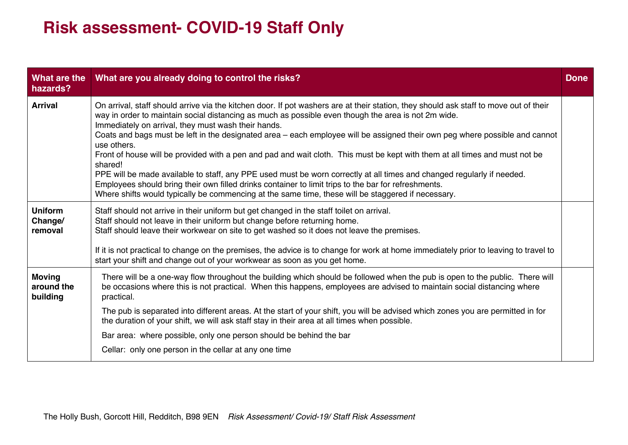| What are the<br>hazards?                | What are you already doing to control the risks?                                                                                                                                                                                                                                                                                                                                                                                                                                                                                                                                                                                                                                                                                                                                                                                                                                                                                    | <b>Done</b> |
|-----------------------------------------|-------------------------------------------------------------------------------------------------------------------------------------------------------------------------------------------------------------------------------------------------------------------------------------------------------------------------------------------------------------------------------------------------------------------------------------------------------------------------------------------------------------------------------------------------------------------------------------------------------------------------------------------------------------------------------------------------------------------------------------------------------------------------------------------------------------------------------------------------------------------------------------------------------------------------------------|-------------|
| <b>Arrival</b>                          | On arrival, staff should arrive via the kitchen door. If pot washers are at their station, they should ask staff to move out of their<br>way in order to maintain social distancing as much as possible even though the area is not 2m wide.<br>Immediately on arrival, they must wash their hands.<br>Coats and bags must be left in the designated area – each employee will be assigned their own peg where possible and cannot<br>use others.<br>Front of house will be provided with a pen and pad and wait cloth. This must be kept with them at all times and must not be<br>shared!<br>PPE will be made available to staff, any PPE used must be worn correctly at all times and changed regularly if needed.<br>Employees should bring their own filled drinks container to limit trips to the bar for refreshments.<br>Where shifts would typically be commencing at the same time, these will be staggered if necessary. |             |
| <b>Uniform</b><br>Change/<br>removal    | Staff should not arrive in their uniform but get changed in the staff toilet on arrival.<br>Staff should not leave in their uniform but change before returning home.<br>Staff should leave their workwear on site to get washed so it does not leave the premises.<br>If it is not practical to change on the premises, the advice is to change for work at home immediately prior to leaving to travel to<br>start your shift and change out of your workwear as soon as you get home.                                                                                                                                                                                                                                                                                                                                                                                                                                            |             |
| <b>Moving</b><br>around the<br>building | There will be a one-way flow throughout the building which should be followed when the pub is open to the public. There will<br>be occasions where this is not practical. When this happens, employees are advised to maintain social distancing where<br>practical.<br>The pub is separated into different areas. At the start of your shift, you will be advised which zones you are permitted in for<br>the duration of your shift, we will ask staff stay in their area at all times when possible.<br>Bar area: where possible, only one person should be behind the bar<br>Cellar: only one person in the cellar at any one time                                                                                                                                                                                                                                                                                              |             |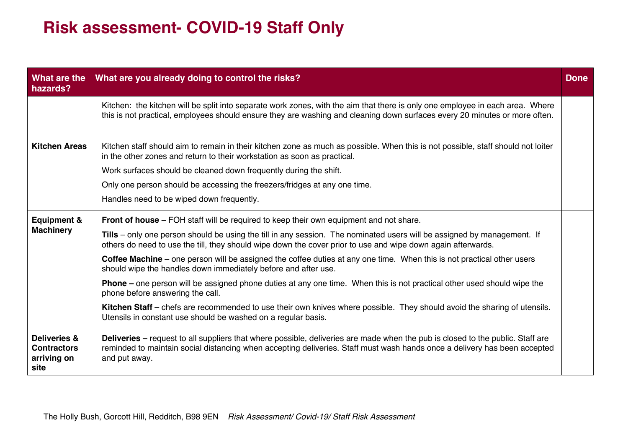| What are the<br>hazards?                                             | What are you already doing to control the risks?                                                                                                                                                                                                                                    | <b>Done</b> |
|----------------------------------------------------------------------|-------------------------------------------------------------------------------------------------------------------------------------------------------------------------------------------------------------------------------------------------------------------------------------|-------------|
|                                                                      | Kitchen: the kitchen will be split into separate work zones, with the aim that there is only one employee in each area. Where<br>this is not practical, employees should ensure they are washing and cleaning down surfaces every 20 minutes or more often.                         |             |
| <b>Kitchen Areas</b>                                                 | Kitchen staff should aim to remain in their kitchen zone as much as possible. When this is not possible, staff should not loiter<br>in the other zones and return to their workstation as soon as practical.                                                                        |             |
|                                                                      | Work surfaces should be cleaned down frequently during the shift.                                                                                                                                                                                                                   |             |
|                                                                      | Only one person should be accessing the freezers/fridges at any one time.                                                                                                                                                                                                           |             |
|                                                                      | Handles need to be wiped down frequently.                                                                                                                                                                                                                                           |             |
| <b>Equipment &amp;</b>                                               | Front of house - FOH staff will be required to keep their own equipment and not share.                                                                                                                                                                                              |             |
| <b>Machinery</b>                                                     | Tills – only one person should be using the till in any session. The nominated users will be assigned by management. If<br>others do need to use the till, they should wipe down the cover prior to use and wipe down again afterwards.                                             |             |
|                                                                      | Coffee Machine – one person will be assigned the coffee duties at any one time. When this is not practical other users<br>should wipe the handles down immediately before and after use.                                                                                            |             |
|                                                                      | <b>Phone</b> – one person will be assigned phone duties at any one time. When this is not practical other used should wipe the<br>phone before answering the call.                                                                                                                  |             |
|                                                                      | Kitchen Staff – chefs are recommended to use their own knives where possible. They should avoid the sharing of utensils.<br>Utensils in constant use should be washed on a regular basis.                                                                                           |             |
| <b>Deliveries &amp;</b><br><b>Contractors</b><br>arriving on<br>site | <b>Deliveries</b> – request to all suppliers that where possible, deliveries are made when the pub is closed to the public. Staff are<br>reminded to maintain social distancing when accepting deliveries. Staff must wash hands once a delivery has been accepted<br>and put away. |             |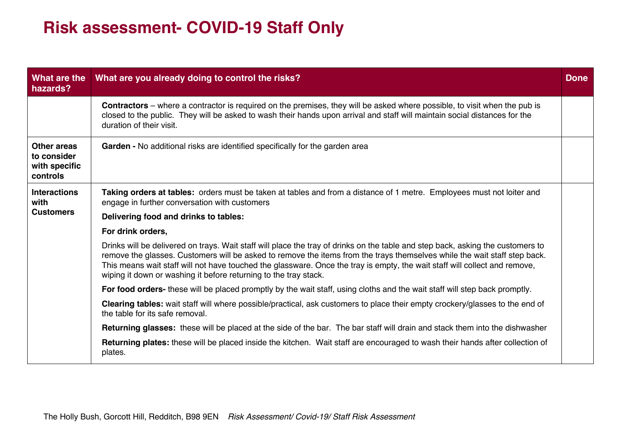| What are the<br>hazards?                                       | What are you already doing to control the risks?                                                                                                                                                                                                                                                                                                                                                                                                               | <b>Done</b> |
|----------------------------------------------------------------|----------------------------------------------------------------------------------------------------------------------------------------------------------------------------------------------------------------------------------------------------------------------------------------------------------------------------------------------------------------------------------------------------------------------------------------------------------------|-------------|
|                                                                | <b>Contractors</b> – where a contractor is required on the premises, they will be asked where possible, to visit when the pub is<br>closed to the public. They will be asked to wash their hands upon arrival and staff will maintain social distances for the<br>duration of their visit.                                                                                                                                                                     |             |
| <b>Other areas</b><br>to consider<br>with specific<br>controls | Garden - No additional risks are identified specifically for the garden area                                                                                                                                                                                                                                                                                                                                                                                   |             |
| <b>Interactions</b><br>with                                    | Taking orders at tables: orders must be taken at tables and from a distance of 1 metre. Employees must not loiter and<br>engage in further conversation with customers                                                                                                                                                                                                                                                                                         |             |
| <b>Customers</b>                                               | Delivering food and drinks to tables:                                                                                                                                                                                                                                                                                                                                                                                                                          |             |
|                                                                | For drink orders,                                                                                                                                                                                                                                                                                                                                                                                                                                              |             |
|                                                                | Drinks will be delivered on trays. Wait staff will place the tray of drinks on the table and step back, asking the customers to<br>remove the glasses. Customers will be asked to remove the items from the trays themselves while the wait staff step back.<br>This means wait staff will not have touched the glassware. Once the tray is empty, the wait staff will collect and remove,<br>wiping it down or washing it before returning to the tray stack. |             |
|                                                                | For food orders- these will be placed promptly by the wait staff, using cloths and the wait staff will step back promptly.                                                                                                                                                                                                                                                                                                                                     |             |
|                                                                | Clearing tables: wait staff will where possible/practical, ask customers to place their empty crockery/glasses to the end of<br>the table for its safe removal.                                                                                                                                                                                                                                                                                                |             |
|                                                                | Returning glasses: these will be placed at the side of the bar. The bar staff will drain and stack them into the dishwasher                                                                                                                                                                                                                                                                                                                                    |             |
|                                                                | Returning plates: these will be placed inside the kitchen. Wait staff are encouraged to wash their hands after collection of<br>plates.                                                                                                                                                                                                                                                                                                                        |             |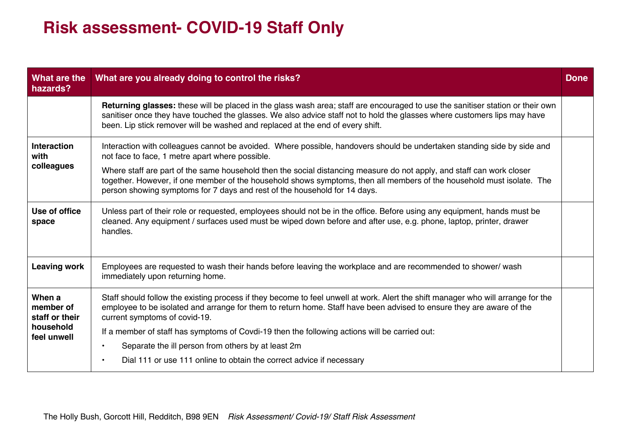| What are the<br>hazards?                                          | What are you already doing to control the risks?                                                                                                                                                                                                                                                                                                                                                                                                                                                                                      | <b>Done</b> |
|-------------------------------------------------------------------|---------------------------------------------------------------------------------------------------------------------------------------------------------------------------------------------------------------------------------------------------------------------------------------------------------------------------------------------------------------------------------------------------------------------------------------------------------------------------------------------------------------------------------------|-------------|
|                                                                   | <b>Returning glasses:</b> these will be placed in the glass wash area; staff are encouraged to use the sanitiser station or their own<br>sanitiser once they have touched the glasses. We also advice staff not to hold the glasses where customers lips may have<br>been. Lip stick remover will be washed and replaced at the end of every shift.                                                                                                                                                                                   |             |
| <b>Interaction</b><br>with<br>colleagues                          | Interaction with colleagues cannot be avoided. Where possible, handovers should be undertaken standing side by side and<br>not face to face, 1 metre apart where possible.<br>Where staff are part of the same household then the social distancing measure do not apply, and staff can work closer<br>together. However, if one member of the household shows symptoms, then all members of the household must isolate. The<br>person showing symptoms for 7 days and rest of the household for 14 days.                             |             |
| Use of office<br>space                                            | Unless part of their role or requested, employees should not be in the office. Before using any equipment, hands must be<br>cleaned. Any equipment / surfaces used must be wiped down before and after use, e.g. phone, laptop, printer, drawer<br>handles.                                                                                                                                                                                                                                                                           |             |
| <b>Leaving work</b>                                               | Employees are requested to wash their hands before leaving the workplace and are recommended to shower/ wash<br>immediately upon returning home.                                                                                                                                                                                                                                                                                                                                                                                      |             |
| When a<br>member of<br>staff or their<br>household<br>feel unwell | Staff should follow the existing process if they become to feel unwell at work. Alert the shift manager who will arrange for the<br>employee to be isolated and arrange for them to return home. Staff have been advised to ensure they are aware of the<br>current symptoms of covid-19.<br>If a member of staff has symptoms of Covdi-19 then the following actions will be carried out:<br>Separate the ill person from others by at least 2m<br>$\bullet$<br>Dial 111 or use 111 online to obtain the correct advice if necessary |             |